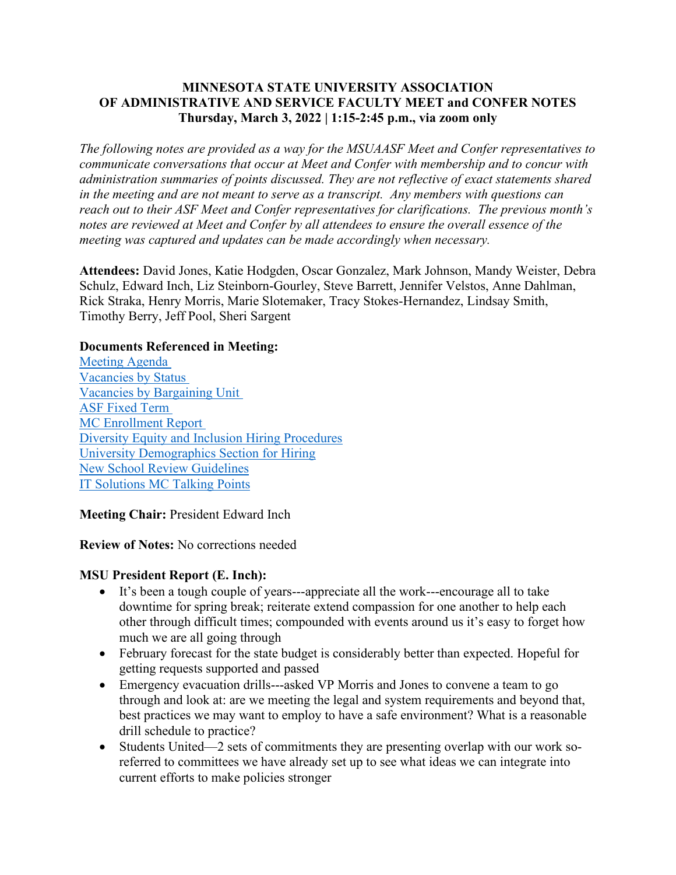### **MINNESOTA STATE UNIVERSITY ASSOCIATION OF ADMINISTRATIVE AND SERVICE FACULTY MEET and CONFER NOTES Thursday, March 3, 2022 | 1:15-2:45 p.m., via zoom only**

*The following notes are provided as a way for the MSUAASF Meet and Confer representatives to communicate conversations that occur at Meet and Confer with membership and to concur with administration summaries of points discussed. They are not reflective of exact statements shared in the meeting and are not meant to serve as a transcript. Any members with questions can reach out to their ASF Meet and Confer representatives for clarifications. The previous month's notes are reviewed at Meet and Confer by all attendees to ensure the overall essence of the meeting was captured and updates can be made accordingly when necessary.*

**Attendees:** David Jones, Katie Hodgden, Oscar Gonzalez, Mark Johnson, Mandy Weister, Debra Schulz, Edward Inch, Liz Steinborn-Gourley, Steve Barrett, Jennifer Velstos, Anne Dahlman, Rick Straka, Henry Morris, Marie Slotemaker, Tracy Stokes-Hernandez, Lindsay Smith, Timothy Berry, Jeff Pool, Sheri Sargent

#### **Documents Referenced in Meeting:**

[Meeting Agenda](https://mnscu-my.sharepoint.com/:w:/g/personal/dy6217wl_minnstate_edu/Ee0XiFkggtZIioB_ToRS24IBBIaqFdyPQ9kcnEzfcaOrjg?e=nazHBk) [Vacancies by Status](https://mnscu-my.sharepoint.com/:b:/g/personal/dy6217wl_minnstate_edu/EQerTG5gbBJFpNjcdYrSCDQBGJnS2zG6sWpqoCgsz0BPCQ?e=nhH5gd) [Vacancies by Bargaining Unit](https://mnscu-my.sharepoint.com/:b:/g/personal/dy6217wl_minnstate_edu/ETVnK9L7tDRDn0F1SzHJUtkBtGDCri-bJXbviSNRer63WA?e=6sjhfE) [ASF Fixed Term](https://mnscu-my.sharepoint.com/:b:/g/personal/dy6217wl_minnstate_edu/EdqeGhKChphIgHMWUnTVz1MBNuNRg_3xzZMsPihno7DJyA?e=ZqdTvp) [MC Enrollment Report](https://mnscu-my.sharepoint.com/:b:/g/personal/dy6217wl_minnstate_edu/Eb2J8wY5jgdMhZTaMvC3RzkBF76c8QO4WiwlBFcaHnfXpQ?e=1oXc9P) [Diversity Equity and Inclusion Hiring Procedures](https://mnscu-my.sharepoint.com/:w:/g/personal/dy6217wl_minnstate_edu/EWamou0pd3lKk2-HUUIOrsIBst5F8steom4GyxGGAroPPQ?e=WNw4xk) [University Demographics Section for Hiring](https://mnscu-my.sharepoint.com/:w:/g/personal/dy6217wl_minnstate_edu/EQ5G3Idw7EpKssPr9zBHV1gB84PTMp_Iw_qDSt96jOqdZQ?e=edI3Cf) [New School Review Guidelines](https://mnscu-my.sharepoint.com/:w:/g/personal/dy6217wl_minnstate_edu/EWcrRGXaKbdMv5NHIKm9nCUBXMVpgMvIrZOxYLg_Q4Gwyg?e=Z2qbHV) [IT Solutions MC Talking Points](https://mnscu-my.sharepoint.com/:b:/g/personal/dy6217wl_minnstate_edu/EUJJKwVBZLlMsNPxUBBdtusBi0ZIdpoACxA530ZOif-eOA?e=AbJH6A)

**Meeting Chair:** President Edward Inch

**Review of Notes:** No corrections needed

### **MSU President Report (E. Inch):**

- It's been a tough couple of years---appreciate all the work---encourage all to take downtime for spring break; reiterate extend compassion for one another to help each other through difficult times; compounded with events around us it's easy to forget how much we are all going through
- February forecast for the state budget is considerably better than expected. Hopeful for getting requests supported and passed
- Emergency evacuation drills---asked VP Morris and Jones to convene a team to go through and look at: are we meeting the legal and system requirements and beyond that, best practices we may want to employ to have a safe environment? What is a reasonable drill schedule to practice?
- Students United—2 sets of commitments they are presenting overlap with our work soreferred to committees we have already set up to see what ideas we can integrate into current efforts to make policies stronger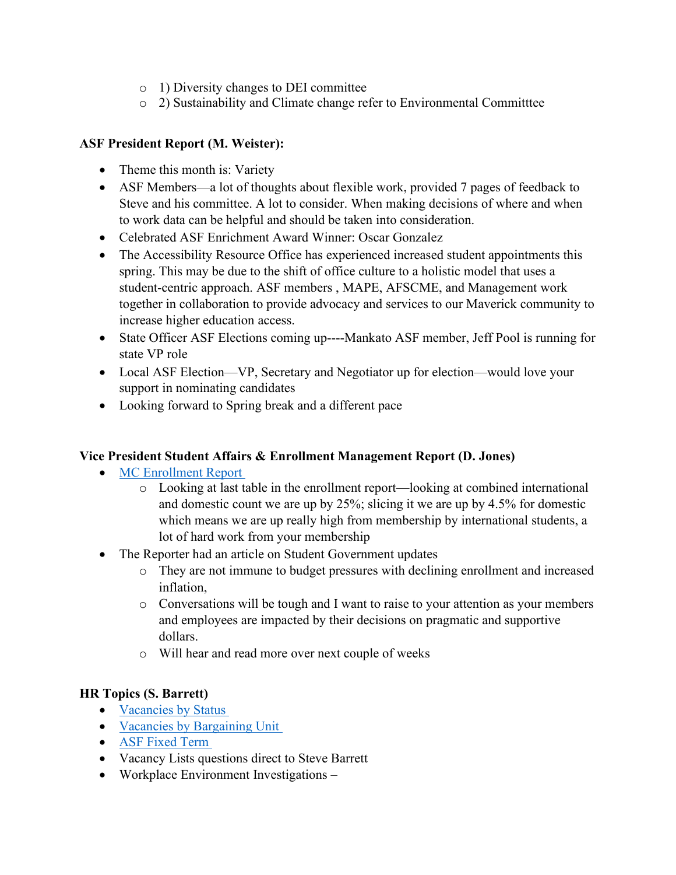- o 1) Diversity changes to DEI committee
- o 2) Sustainability and Climate change refer to Environmental Committtee

# **ASF President Report (M. Weister):**

- Theme this month is: Variety
- ASF Members—a lot of thoughts about flexible work, provided 7 pages of feedback to Steve and his committee. A lot to consider. When making decisions of where and when to work data can be helpful and should be taken into consideration.
- Celebrated ASF Enrichment Award Winner: Oscar Gonzalez
- The Accessibility Resource Office has experienced increased student appointments this spring. This may be due to the shift of office culture to a holistic model that uses a student-centric approach. ASF members , MAPE, AFSCME, and Management work together in collaboration to provide advocacy and services to our Maverick community to increase higher education access.
- State Officer ASF Elections coming up----Mankato ASF member, Jeff Pool is running for state VP role
- Local ASF Election—VP, Secretary and Negotiator up for election—would love your support in nominating candidates
- Looking forward to Spring break and a different pace

### **Vice President Student Affairs & Enrollment Management Report (D. Jones)**

- [MC Enrollment Report](https://mnscu-my.sharepoint.com/:b:/g/personal/dy6217wl_minnstate_edu/Eb2J8wY5jgdMhZTaMvC3RzkBF76c8QO4WiwlBFcaHnfXpQ?e=1oXc9P)
	- o Looking at last table in the enrollment report—looking at combined international and domestic count we are up by 25%; slicing it we are up by 4.5% for domestic which means we are up really high from membership by international students, a lot of hard work from your membership
- The Reporter had an article on Student Government updates
	- o They are not immune to budget pressures with declining enrollment and increased inflation,
	- o Conversations will be tough and I want to raise to your attention as your members and employees are impacted by their decisions on pragmatic and supportive dollars.
	- o Will hear and read more over next couple of weeks

### **HR Topics (S. Barrett)**

- [Vacancies by Status](https://mnscu-my.sharepoint.com/:b:/g/personal/dy6217wl_minnstate_edu/EQerTG5gbBJFpNjcdYrSCDQBGJnS2zG6sWpqoCgsz0BPCQ?e=nhH5gd)
- [Vacancies by Bargaining Unit](https://mnscu-my.sharepoint.com/:b:/g/personal/dy6217wl_minnstate_edu/ETVnK9L7tDRDn0F1SzHJUtkBtGDCri-bJXbviSNRer63WA?e=6sjhfE)
- [ASF Fixed Term](https://mnscu-my.sharepoint.com/:b:/g/personal/dy6217wl_minnstate_edu/EdqeGhKChphIgHMWUnTVz1MBNuNRg_3xzZMsPihno7DJyA?e=ZqdTvp)
- Vacancy Lists questions direct to Steve Barrett
- Workplace Environment Investigations –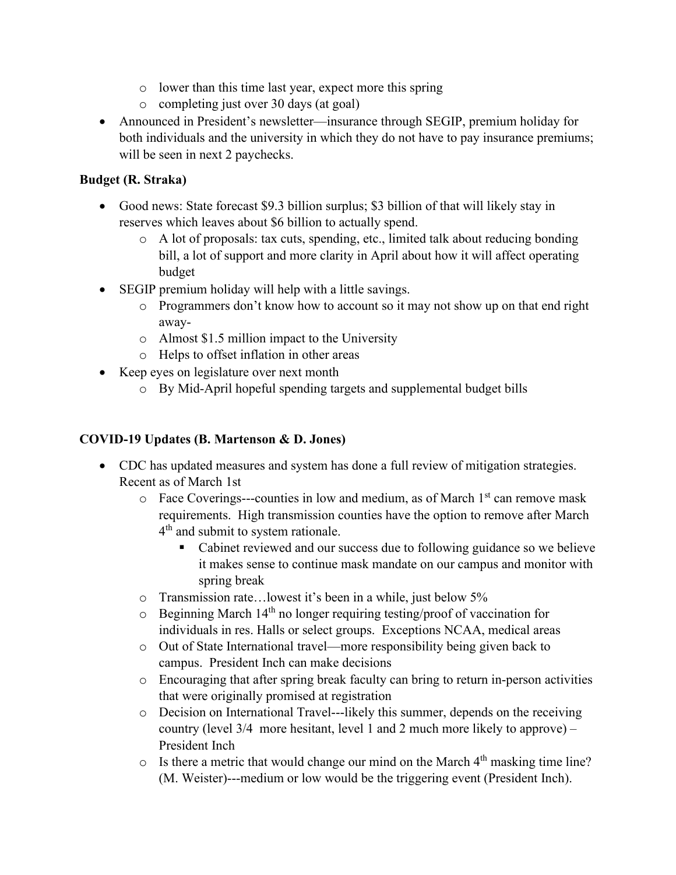- o lower than this time last year, expect more this spring
- o completing just over 30 days (at goal)
- Announced in President's newsletter—insurance through SEGIP, premium holiday for both individuals and the university in which they do not have to pay insurance premiums; will be seen in next 2 paychecks.

# **Budget (R. Straka)**

- Good news: State forecast \$9.3 billion surplus; \$3 billion of that will likely stay in reserves which leaves about \$6 billion to actually spend.
	- o A lot of proposals: tax cuts, spending, etc., limited talk about reducing bonding bill, a lot of support and more clarity in April about how it will affect operating budget
- SEGIP premium holiday will help with a little savings.
	- o Programmers don't know how to account so it may not show up on that end right away-
	- o Almost \$1.5 million impact to the University
	- o Helps to offset inflation in other areas
- Keep eyes on legislature over next month
	- o By Mid-April hopeful spending targets and supplemental budget bills

# **COVID-19 Updates (B. Martenson & D. Jones)**

- CDC has updated measures and system has done a full review of mitigation strategies. Recent as of March 1st
	- $\circ$  Face Coverings---counties in low and medium, as of March 1<sup>st</sup> can remove mask requirements. High transmission counties have the option to remove after March 4<sup>th</sup> and submit to system rationale.
		- Cabinet reviewed and our success due to following guidance so we believe it makes sense to continue mask mandate on our campus and monitor with spring break
	- o Transmission rate…lowest it's been in a while, just below 5%
	- $\circ$  Beginning March 14<sup>th</sup> no longer requiring testing/proof of vaccination for individuals in res. Halls or select groups. Exceptions NCAA, medical areas
	- o Out of State International travel—more responsibility being given back to campus. President Inch can make decisions
	- o Encouraging that after spring break faculty can bring to return in-person activities that were originally promised at registration
	- $\circ$  Decision on International Travel---likely this summer, depends on the receiving country (level 3/4 more hesitant, level 1 and 2 much more likely to approve) – President Inch
	- $\circ$  Is there a metric that would change our mind on the March 4<sup>th</sup> masking time line? (M. Weister)---medium or low would be the triggering event (President Inch).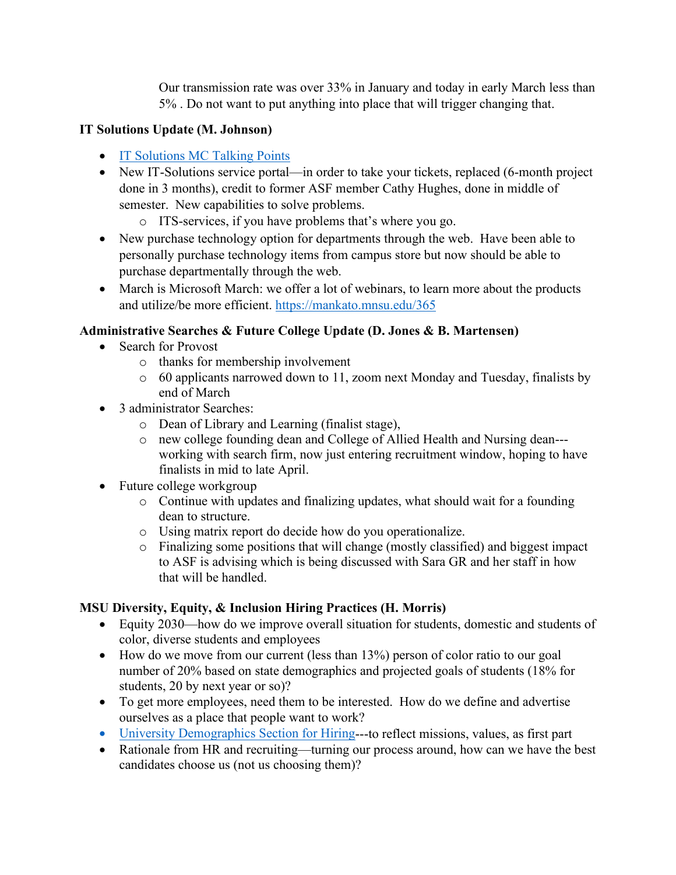Our transmission rate was over 33% in January and today in early March less than 5% . Do not want to put anything into place that will trigger changing that.

# **IT Solutions Update (M. Johnson)**

- [IT Solutions MC Talking Points](https://mnscu-my.sharepoint.com/:b:/g/personal/dy6217wl_minnstate_edu/EUJJKwVBZLlMsNPxUBBdtusBi0ZIdpoACxA530ZOif-eOA?e=AbJH6A)
- New IT-Solutions service portal—in order to take your tickets, replaced (6-month project done in 3 months), credit to former ASF member Cathy Hughes, done in middle of semester. New capabilities to solve problems.
	- o ITS-services, if you have problems that's where you go.
- New purchase technology option for departments through the web. Have been able to personally purchase technology items from campus store but now should be able to purchase departmentally through the web.
- March is Microsoft March: we offer a lot of webinars, to learn more about the products and utilize/be more efficient.<https://mankato.mnsu.edu/365>

# **Administrative Searches & Future College Update (D. Jones & B. Martensen)**

- Search for Provost
	- o thanks for membership involvement
	- o 60 applicants narrowed down to 11, zoom next Monday and Tuesday, finalists by end of March
- 3 administrator Searches:
	- o Dean of Library and Learning (finalist stage),
	- o new college founding dean and College of Allied Health and Nursing dean-- working with search firm, now just entering recruitment window, hoping to have finalists in mid to late April.
- Future college workgroup
	- o Continue with updates and finalizing updates, what should wait for a founding dean to structure.
	- o Using matrix report do decide how do you operationalize.
	- o Finalizing some positions that will change (mostly classified) and biggest impact to ASF is advising which is being discussed with Sara GR and her staff in how that will be handled.

### **MSU Diversity, Equity, & Inclusion Hiring Practices (H. Morris)**

- Equity 2030—how do we improve overall situation for students, domestic and students of color, diverse students and employees
- How do we move from our current (less than 13%) person of color ratio to our goal number of 20% based on state demographics and projected goals of students (18% for students, 20 by next year or so)?
- To get more employees, need them to be interested. How do we define and advertise ourselves as a place that people want to work?
- [University Demographics Section for Hiring-](https://mnscu-my.sharepoint.com/:w:/g/personal/dy6217wl_minnstate_edu/EQ5G3Idw7EpKssPr9zBHV1gB84PTMp_Iw_qDSt96jOqdZQ?e=edI3Cf)--to reflect missions, values, as first part
- Rationale from HR and recruiting—turning our process around, how can we have the best candidates choose us (not us choosing them)?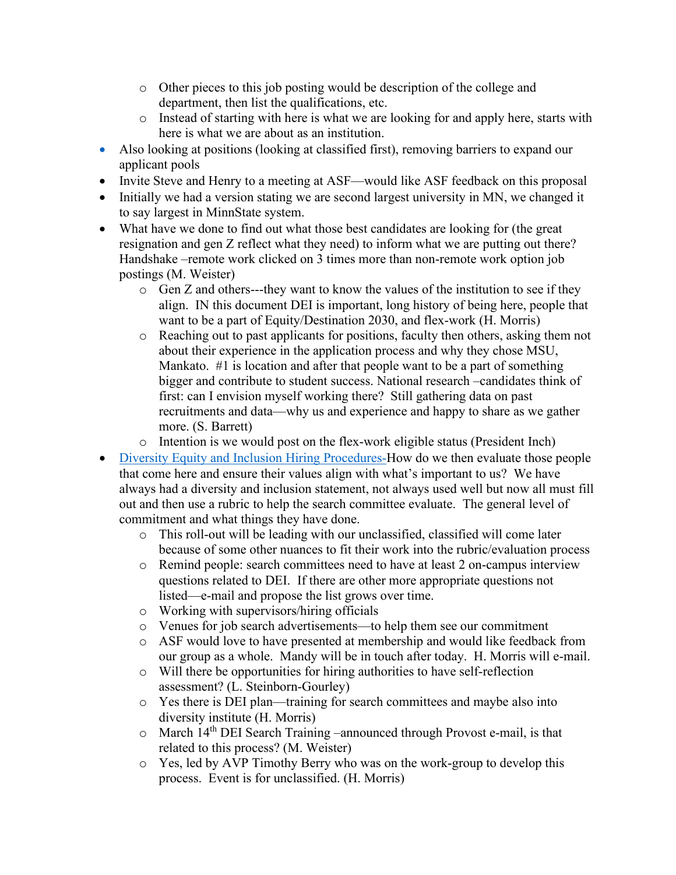- o Other pieces to this job posting would be description of the college and department, then list the qualifications, etc.
- o Instead of starting with here is what we are looking for and apply here, starts with here is what we are about as an institution.
- Also looking at positions (looking at classified first), removing barriers to expand our applicant pools
- Invite Steve and Henry to a meeting at ASF—would like ASF feedback on this proposal
- Initially we had a version stating we are second largest university in MN, we changed it to say largest in MinnState system.
- What have we done to find out what those best candidates are looking for (the great resignation and gen Z reflect what they need) to inform what we are putting out there? Handshake –remote work clicked on 3 times more than non-remote work option job postings (M. Weister)
	- o Gen Z and others---they want to know the values of the institution to see if they align. IN this document DEI is important, long history of being here, people that want to be a part of Equity/Destination 2030, and flex-work (H. Morris)
	- o Reaching out to past applicants for positions, faculty then others, asking them not about their experience in the application process and why they chose MSU, Mankato. #1 is location and after that people want to be a part of something bigger and contribute to student success. National research –candidates think of first: can I envision myself working there? Still gathering data on past recruitments and data—why us and experience and happy to share as we gather more. (S. Barrett)
	- o Intention is we would post on the flex-work eligible status (President Inch)
- [Diversity Equity and Inclusion Hiring Procedures-](https://mnscu-my.sharepoint.com/:w:/g/personal/dy6217wl_minnstate_edu/EWamou0pd3lKk2-HUUIOrsIBst5F8steom4GyxGGAroPPQ?e=WNw4xk)How do we then evaluate those people that come here and ensure their values align with what's important to us? We have always had a diversity and inclusion statement, not always used well but now all must fill out and then use a rubric to help the search committee evaluate. The general level of commitment and what things they have done.
	- o This roll-out will be leading with our unclassified, classified will come later because of some other nuances to fit their work into the rubric/evaluation process
	- o Remind people: search committees need to have at least 2 on-campus interview questions related to DEI. If there are other more appropriate questions not listed—e-mail and propose the list grows over time.
	- o Working with supervisors/hiring officials
	- o Venues for job search advertisements—to help them see our commitment
	- o ASF would love to have presented at membership and would like feedback from our group as a whole. Mandy will be in touch after today. H. Morris will e-mail.
	- o Will there be opportunities for hiring authorities to have self-reflection assessment? (L. Steinborn-Gourley)
	- o Yes there is DEI plan—training for search committees and maybe also into diversity institute (H. Morris)
	- $\circ$  March 14<sup>th</sup> DEI Search Training –announced through Provost e-mail, is that related to this process? (M. Weister)
	- o Yes, led by AVP Timothy Berry who was on the work-group to develop this process. Event is for unclassified. (H. Morris)